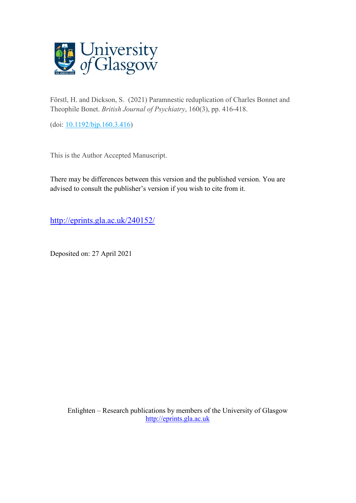

Förstl, H. and Dickson, S. (2021) Paramnestic reduplication of Charles Bonnet and Theophile Bonet. *British Journal of Psychiatry*, 160(3), pp. 416-418.

(doi: [10.1192/bjp.160.3.416\)](http://dx.doi.org/10.1192/bjp.160.3.416)

This is the Author Accepted Manuscript.

There may be differences between this version and the published version. You are advised to consult the publisher's version if you wish to cite from it.

<http://eprints.gla.ac.uk/240152/>

Deposited on: 27 April 2021

Enlighten – Research publications by members of the University of Glasgow [http://eprints.gla.ac.uk](http://eprints.gla.ac.uk/)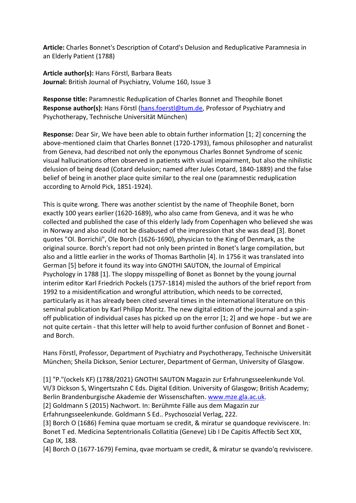**Article:** Charles Bonnet's Description of Cotard's Delusion and Reduplicative Paramnesia in an Elderly Patient (1788)

**Article author(s):** Hans Förstl, Barbara Beats **Journal:** British Journal of Psychiatry, Volume 160, Issue 3

**Response title:** Paramnestic Reduplication of Charles Bonnet and Theophile Bonet **Response author(s):** Hans Förstl [\(hans.foerstl@tum.de,](mailto:hans.foerstl@tum.de) Professor of Psychiatry and Psychotherapy, Technische Universität München)

**Response:** Dear Sir, We have been able to obtain further information [1; 2] concerning the above-mentioned claim that Charles Bonnet (1720-1793), famous philosopher and naturalist from Geneva, had described not only the eponymous Charles Bonnet Syndrome of scenic visual hallucinations often observed in patients with visual impairment, but also the nihilistic delusion of being dead (Cotard delusion; named after Jules Cotard, 1840-1889) and the false belief of being in another place quite similar to the real one (paramnestic reduplication according to Arnold Pick, 1851-1924).

This is quite wrong. There was another scientist by the name of Theophile Bonet, born exactly 100 years earlier (1620-1689), who also came from Geneva, and it was he who collected and published the case of this elderly lady from Copenhagen who believed she was in Norway and also could not be disabused of the impression that she was dead [3]. Bonet quotes "Ol. Borrichii", Ole Borch (1626-1690), physician to the King of Denmark, as the original source. Borch's report had not only been printed in Bonet's large compilation, but also and a little earlier in the works of Thomas Bartholin [4]. In 1756 it was translated into German [5] before it found its way into GNOTHI SAUTON, the Journal of Empirical Psychology in 1788 [1]. The sloppy misspelling of Bonet as Bonnet by the young journal interim editor Karl Friedrich Pockels (1757-1814) misled the authors of the brief report from 1992 to a misidentification and wrongful attribution, which needs to be corrected, particularly as it has already been cited several times in the international literature on this seminal publication by Karl Philipp Moritz. The new digital edition of the journal and a spinoff publication of individual cases has picked up on the error [1; 2] and we hope - but we are not quite certain - that this letter will help to avoid further confusion of Bonnet and Bonet and Borch.

Hans Förstl, Professor, Department of Psychiatry and Psychotherapy, Technische Universität München; Sheila Dickson, Senior Lecturer, Department of German, University of Glasgow.

[1] "P."(ockels KF) (1788/2021) GNOTHI SAUTON Magazin zur Erfahrungsseelenkunde Vol. VI/3 Dickson S, Wingertszahn C Eds. Digital Edition. University of Glasgow; British Academy; Berlin Brandenburgische Akademie der Wissenschaften. [www.mze.gla.ac.uk.](http://www.mze.gla.ac.uk/) [2] Goldmann S (2015) Nachwort. In: Berühmte Fälle aus dem Magazin zur

Erfahrungsseelenkunde. Goldmann S Ed.. Psychosozial Verlag, 222.

[3] Borch O (1686) Femina quae mortuam se credit, & miratur se quandoque reviviscere. In: Bonet T ed. Medicina Septentrionalis Collatitia (Geneve) Lib I De Capitis Affectib Sect XIX, Cap IX, 188.

[4] Borch O (1677-1679) Femina, qvae mortuam se credit, & miratur se qvando'q reviviscere.